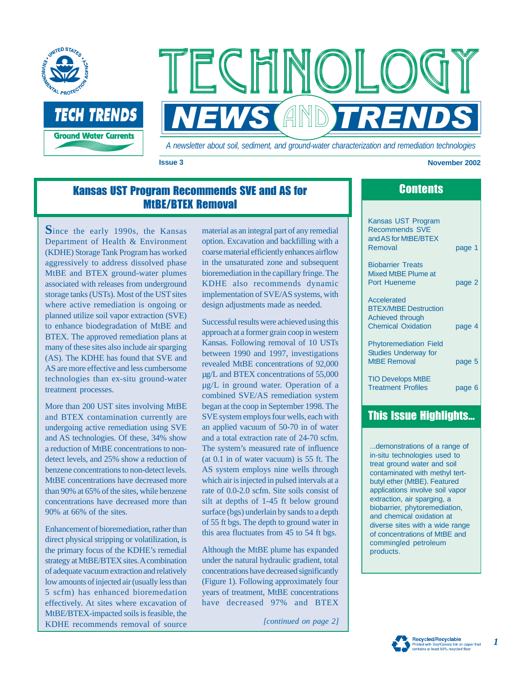

TFCHNOL **NEWS AND TRENDS** 

*A newsletter about soil, sediment, and ground-water characterization and remediation technologies* 

#### **Issue 3** November 2002

### Kansas UST Program Recommends SVE and AS for MtBE/BTEX Removal

**S**ince the early 1990s, the Kansas Department of Health & Environment (KDHE) Storage Tank Program has worked aggressively to address dissolved phase MtBE and BTEX ground-water plumes associated with releases from underground storage tanks (USTs). Most of the UST sites where active remediation is ongoing or planned utilize soil vapor extraction (SVE) to enhance biodegradation of MtBE and BTEX. The approved remediation plans at many of these sites also include air sparging (AS). The KDHE has found that SVE and AS are more effective and less cumbersome technologies than ex-situ ground-water treatment processes.

More than 200 UST sites involving MtBE and BTEX contamination currently are undergoing active remediation using SVE and AS technologies. Of these, 34% show a reduction of MtBE concentrations to nondetect levels, and 25% show a reduction of benzene concentrations to non-detect levels. MtBE concentrations have decreased more than 90% at 65% of the sites, while benzene concentrations have decreased more than 90% at 66% of the sites.

Enhancement of bioremediation, rather than direct physical stripping or volatilization, is the primary focus of the KDHE's remedial strategy at MtBE/BTEX sites.A combination of adequate vacuum extraction and relatively low amounts of injected air (usually less than 5 scfm) has enhanced bioremedation effectively. At sites where excavation of MtBE/BTEX-impacted soils is feasible, the KDHE recommends removal of source *[continued on page 2]* 

material as an integral part of any remedial option. Excavation and backfilling with a coarse material efficiently enhances airflow in the unsaturated zone and subsequent bioremediation in the capillary fringe. The KDHE also recommends dynamic implementation of SVE/AS systems, with design adjustments made as needed.

Successful results were achieved using this approach at a former grain coop in western Kansas. Following removal of 10 USTs between 1990 and 1997, investigations revealed MtBE concentrations of 92,000 µg/L and BTEX concentrations of 55,000 µg/L in ground water. Operation of a combined SVE/AS remediation system began at the coop in September 1998. The SVE system employs four wells, each with an applied vacuum of 50-70 in of water and a total extraction rate of 24-70 scfm. The system's measured rate of influence (at 0.1 in of water vacuum) is 55 ft. The AS system employs nine wells through which air is injected in pulsed intervals at a rate of 0.0-2.0 scfm. Site soils consist of silt at depths of 1-45 ft below ground surface (bgs) underlain by sands to a depth of 55 ft bgs. The depth to ground water in this area fluctuates from 45 to 54 ft bgs.

Although the MtBE plume has expanded under the natural hydraulic gradient, total concentrations have decreased significantly (Figure 1). Following approximately four years of treatment, MtBE concentrations have decreased 97% and BTEX

### **Contents**

Kansas UST Program Recommends SVE and AS for MtBE/BTEX Removal page 1

Biobarrier Treats Mixed MtBE Plume at Port Hueneme page 2

**Accelerated** BTEX/MtBE Destruction Achieved through Chemical Oxidation page 4

Phytoremediation Field Studies Underway for MtBE Removal page 5

TIO Develops MtBE Treatment Profiles page 6

### This Issue Highlights...

...demonstrations of a range of in-situ technologies used to treat ground water and soil contaminated with methyl tertbutyl ether (MtBE). Featured applications involve soil vapor extraction, air sparging, a biobarrier, phytoremediation, and chemical oxidation at diverse sites with a wide range of concentrations of MtBE and commingled petroleum products.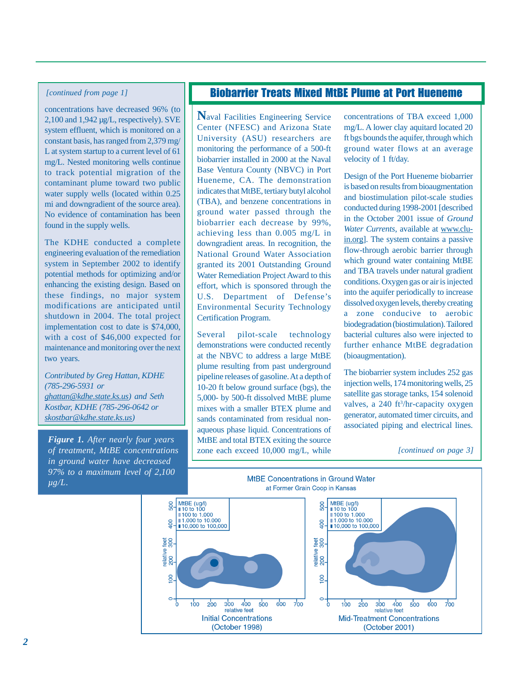#### *[continued from page 1]*

concentrations have decreased 96% (to 2,100 and 1,942 µg/L, respectively). SVE system effluent, which is monitored on a constant basis, has ranged from 2,379 mg/ L at system startup to a current level of 61 mg/L. Nested monitoring wells continue to track potential migration of the contaminant plume toward two public water supply wells (located within 0.25 mi and downgradient of the source area). No evidence of contamination has been found in the supply wells.

The KDHE conducted a complete engineering evaluation of the remediation system in September 2002 to identify potential methods for optimizing and/or enhancing the existing design. Based on these findings, no major system modifications are anticipated until shutdown in 2004. The total project implementation cost to date is \$74,000, with a cost of \$46,000 expected for maintenance and monitoring over the next two years.

*(785-296-5931 or Contributed by Greg Hattan, KDHE ghattan@kdhe.state.ks.us) and Seth Kostbar, KDHE (785-296-0642 or skostbar@kdhe.state.ks.us)* 

*Figure 1. After nearly four years 97% to a maximum level of 2,100*   $\overline{\mu g/L}$ . *of treatment, MtBE concentrations in ground water have decreased* 

#### Biobarrier Treats Mixed MtBE Plume at Port Hueneme

**N**aval Facilities Engineering Service University (ASU) researchers are monitoring the performance of a 500-ft biobarrier installed in 2000 at the Naval Hueneme, CA. The demonstration indicates that MtBE, tertiary butyl alcohol (TBA), and benzene concentrations in ground water passed through the biobarrier each decrease by 99%, achieving less than 0.005 mg/L in downgradient areas. In recognition, the granted its 2001 Outstanding Ground effort, which is sponsored through the U.S. Department of Defense's Certification Program. Center (NFESC) and Arizona State Base Ventura County (NBVC) in Port National Ground Water Association Water Remediation Project Award to this Environmental Security Technology

Several pilot-scale technology demonstrations were conducted recently at the NBVC to address a large MtBE plume resulting from past underground 10-20 ft below ground surface (bgs), the 5,000- by 500-ft dissolved MtBE plume mixes with a smaller BTEX plume and sands contaminated from residual nonaqueous phase liquid. Concentrations of MtBE and total BTEX exiting the source pipeline releases of gasoline. At a depth of zone each exceed 10,000 mg/L, while

concentrations of TBA exceed 1,000 ground water flows at an average mg/L. A lower clay aquitard located 20 ft bgs bounds the aquifer, through which velocity of 1 ft/day.

Design of the Port Hueneme biobarrier is based on results from bioaugmentation and biostimulation pilot-scale studies conducted during 1998-2001 [described in the October 2001 issue of *Ground*  Water Currents, available at www.cluflow-through aerobic barrier through which ground water containing MtBE and TBA travels under natural gradient conditions. Oxygen gas or air is injected into the aquifer periodically to increase dissolved oxygen levels, thereby creating a zone conducive to aerobic bacterial cultures also were injected to further enhance MtBE degradation (bioaugmentation). in.org]. The system contains a passive biodegradation (biostimulation). Tailored

The biobarrier system includes 252 gas injection wells, 174 monitoring wells, 25 satellite gas storage tanks, 154 solenoid valves, a 240 ft<sup>3</sup>/hr-capacity oxygen associated piping and electrical lines. generator, automated timer circuits, and

*[continued on page 3]* 

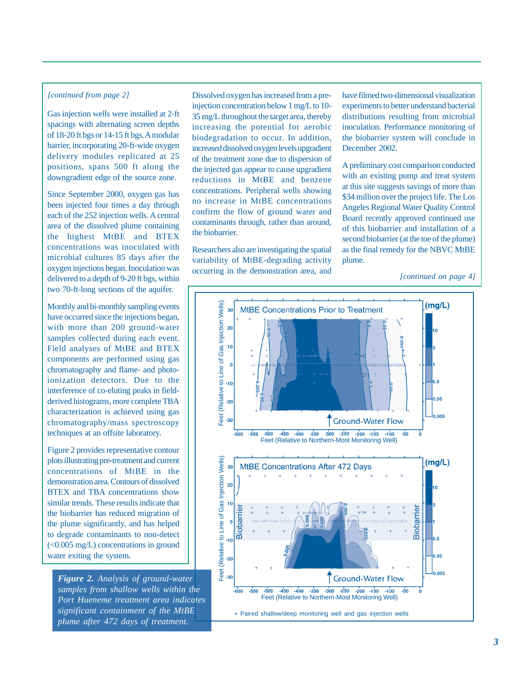the highest MtBE and BTEX oxygen injections began. Inoculation was occurring in the demonstration area, and *[continued on page 4]* delivered to a depth of 9-20 ft bgs, within two 70-ft-long sections of the aquifer.

Monthly and bi-monthly sampling events have occurred since the injections began, with more than 200 ground-water samples collected during each event. Field analyses of MtBE and BTEX components are performed using gas chromatography and flame- and photoionization detectors. Due to the interference of co-eluting peaks in fieldderived histograms, more complete TBA characterization is achieved using gas chromatography/mass spectroscopy techniques at an offsite laboratory.

Figure 2 provides representative contour plots illustrating pre-treatment and current concentrations of MtBE in the demonstration area. Contours of dissolved BTEX and TBA concentrations show similar trends. These results indicate that the biobarrier has reduced migration of to degrade contaminants to non-detect water exiting the system. the plume significantly, and has helped (<0.005 mg/L) concentrations in ground

*significant containment of the MtBE samples from shallow wells within the Port Hueneme treatment area indicates Figure 2. Analysis of ground-water plume after 472 days of treatment.* 

*[continued from page 2]* Dissolved oxygen has increased from a pre- have filmed two-dimensional visualization injection concentration below 1 mg/L to 10- experiments to better understand bacterial Gas injection wells were installed at 2-ft 35 mg/L throughout the target area, thereby distributions resulting from microbial spacings with alternating screen depths increasing the potential for agrobic inoculation Perform spacings with alternating screen depths increasing the potential for aerobic inoculation. Performance monitoring of 18-20 ft bgs or 14-15 ft bgs. A modular biodearadation to occur. In addition the biobarrier system will co of 18-20 ft bgs or 14-15 ft bgs. A modular biodegradation to occur. In addition, the biobarrier system will conclude in barrier, incorporating 20-ft-wide oxygen increased dissolved oxygen levels uporadient. December 2002 barrier, incorporating 20-ft-wide oxygen increased dissolved oxygen levels upgradient December 2002.<br>delivery modules replicated at 25 of the treatment zone due to dispersion of delivery modules replicated at 25 of the treatment zone due to dispersion of positions, spans 500 ft along the the injected assessment to cause upgradient positions, spans 500 ft along the the injected gas appear to cause upgradient A preliminary cost comparison conducted<br>downgradient edge of the source zone. The reductions in MtRE and benzene with an existing pump and treat reductions in MtBE and benzene with an existing pump and treat system<br>are expressed the source at this site suggests savings of more than concentrations. Peripheral wells showing Since September 2000, oxygen gas has concentrations. Peripheral wells showing<br>been injected four times a day through no increase in MtBE concentrations Angeles Regional Water Quality Control been injected four times a day through confirm the flow of ground water and Angeles Regional Water Quality Control<br>Board recently approved continued use each of the 252 injection weight recentral contaminants through, rather than around, area of the dissolved plume containing are a contained the distribution of this biobarrier and installation of a the biobarrier

microbial cultures 85 days after the variability of MtBE-degrading activity plume.<br>oxygen injections began. Inoculation was occurring in the demonstration area and

second biobarrier (at the toe of the plume) concentrations was inoculated with Researchers also are investigating the spatial as the final remedy for the NBVC MtBE microbial cultures 85 days after the variability of MtBE-degrading activity plume

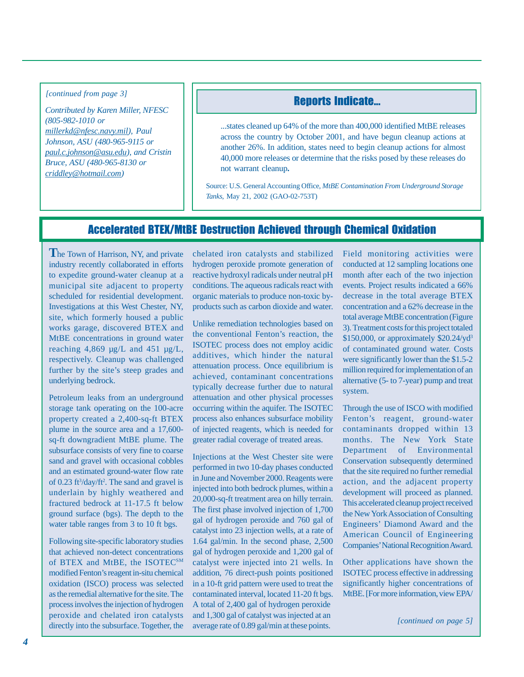*[continued from page 3]* 

*Contributed by Karen Miller, NFESC (805-982-1010 or millerkd@nfesc.navy.mil), Paul Johnson, ASU (480-965-9115 or paul.c.johnson@asu.edu), and Cristin Bruce, ASU (480-965-8130 or criddley@hotmail.com)* 

#### Reports Indicate...

...states cleaned up 64% of the more than 400,000 identified MtBE releases across the country by October 2001, and have begun cleanup actions at another 26%. In addition, states need to begin cleanup actions for almost 40,000 more releases or determine that the risks posed by these releases do not warrant cleanup**.** 

Source: U.S. General Accounting Office, *MtBE Contamination From Underground Storage Tanks*, May 21, 2002 (GAO-02-753T)

## Accelerated BTEX/MtBE Destruction Achieved through Chemical Oxidation

The Town of Harrison, NY, and private industry recently collaborated in efforts to expedite ground-water cleanup at a municipal site adjacent to property scheduled for residential development. Investigations at this West Chester, NY, site, which formerly housed a public works garage, discovered BTEX and MtBE concentrations in ground water reaching  $4,869 \mu g/L$  and  $451 \mu g/L$ , respectively. Cleanup was challenged further by the site's steep grades and underlying bedrock.

Petroleum leaks from an underground storage tank operating on the 100-acre property created a 2,400-sq-ft BTEX plume in the source area and a 17,600 sq-ft downgradient MtBE plume. The subsurface consists of very fine to coarse sand and gravel with occasional cobbles and an estimated ground-water flow rate of  $0.23$  ft<sup>3</sup>/day/ft<sup>2</sup>. The sand and gravel is underlain by highly weathered and fractured bedrock at 11-17.5 ft below ground surface (bgs). The depth to the water table ranges from 3 to 10 ft bgs.

Following site-specific laboratory studies that achieved non-detect concentrations of BTEX and MtBE, the ISOTECSM modified Fenton's reagent in-situ chemical oxidation (ISCO) process was selected as the remedial alternative for the site. The process involves the injection of hydrogen peroxide and chelated iron catalysts

chelated iron catalysts and stabilized hydrogen peroxide promote generation of reactive hydroxyl radicals under neutral pH conditions. The aqueous radicals react with organic materials to produce non-toxic byproducts such as carbon dioxide and water.

Unlike remediation technologies based on the conventional Fenton's reaction, the ISOTEC process does not employ acidic additives, which hinder the natural attenuation process. Once equilibrium is achieved, contaminant concentrations typically decrease further due to natural attenuation and other physical processes occurring within the aquifer. The ISOTEC process also enhances subsurface mobility of injected reagents, which is needed for greater radial coverage of treated areas.

Feromate and chemical from eatingsts and 1,500 gal of eatingst was hyperced at an *[continued on page 5] [continued on page 5] allocally into the subsurface. Together, the average rate of 0.89 gal/min at these points.* Injections at the West Chester site were performed in two 10-day phases conducted in June and November 2000. Reagents were injected into both bedrock plumes, within a 20,000-sq-ft treatment area on hilly terrain. The first phase involved injection of 1,700 gal of hydrogen peroxide and 760 gal of catalyst into 23 injection wells, at a rate of 1.64 gal/min. In the second phase, 2,500 gal of hydrogen peroxide and 1,200 gal of catalyst were injected into 21 wells. In addition, 76 direct-push points positioned in a 10-ft grid pattern were used to treat the contaminated interval, located 11-20 ft bgs. A total of 2,400 gal of hydrogen peroxide and 1,300 gal of catalyst was injected at an

Field monitoring activities were conducted at 12 sampling locations one month after each of the two injection events. Project results indicated a 66% decrease in the total average BTEX concentration and a 62% decrease in the total average MtBE concentration (Figure 3). Treatment costs for this project totaled \$150,000, or approximately \$20.24/yd3 of contaminated ground water. Costs were significantly lower than the \$1.5-2 million required for implementation of an alternative (5- to 7-year) pump and treat system.

Through the use of ISCO with modified Fenton's reagent, ground-water contaminants dropped within 13 months. The New York State Department of Environmental Conservation subsequently determined that the site required no further remedial action, and the adjacent property development will proceed as planned. This accelerated cleanup project received the New York Association of Consulting Engineers' Diamond Award and the American Council of Engineering Companies' National Recognition Award.

Other applications have shown the ISOTEC process effective in addressing significantly higher concentrations of MtBE. [For more information, view EPA/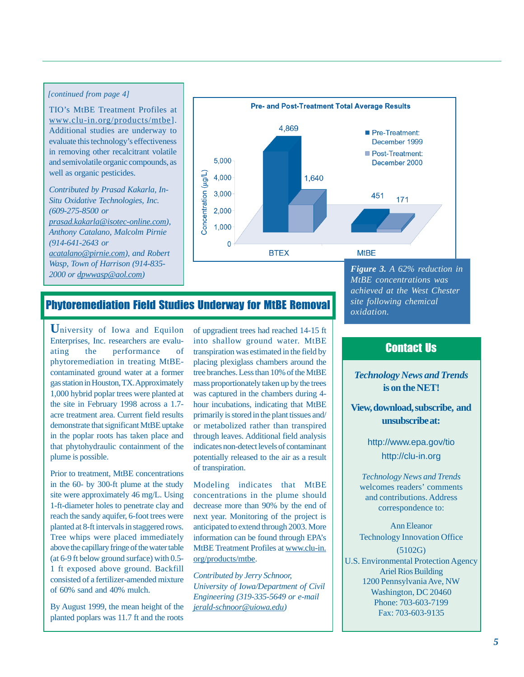#### *[continued from page 4]*

www.clu-in.or g/products/mtbe]. Additional studies are underway to in removing other recalcitrant volatile and semivolatile organic compounds, as well as organic pesticides. TIO's MtBE Treatment Profiles at evaluate this technology's effectiveness

*Contributed by Prasad Kakarla, In- (609-275-8500 or Anthony Catalano, Malcolm Pirnie (914-641-2643 or 2000 or dpwwasp@aol.com) Situ Oxidative Technologies, Inc. prasad.kakarla@isotec-online.com), acatalano@pirnie.com), and Robert Wasp, Town of Harrison (914-835-*



# Phytoremediation Field Studies Underway for MtBE Removal

**U**niversity of Iowa and Equilon Enterprises, Inc. researchers are evaluating the performance of phytoremediation in treating MtBEcontaminated ground water at a former the site in February 1998 across a 1.7 demonstrate that significant MtBE uptake that phytohydraulic containment of the plume is possible. gas station in Houston, TX. Approximately 1,000 hybrid poplar trees were planted at acre treatment area. Current field results in the poplar roots has taken place and

Prior to treatment, MtBE concentrations site were approximately 46 mg/L. Using planted at 8-ft intervals in staggered rows. above the capillary fringe of the water table 1 ft exposed above ground. Backfill consisted of a fertilizer-amended mixture in the 60- by 300-ft plume at the study 1-ft-diameter holes to penetrate clay and reach the sandy aquifer, 6-foot trees were Tree whips were placed immediately (at 6-9 ft below ground surface) with 0.5 of 60% sand and 40% mulch.

By August 1999, the mean height of the planted poplars was 11.7 ft and the roots of upgradient trees had reached 14-15 ft transpiration was estimated in the field by placing plexiglass chambers around the tree branches. Less than 10% of the MtBE mass proportionately taken up by the trees was captured in the chambers during 4 hour incubations, indicating that MtBE primarily is stored in the plant tissues and/ or metabolized rather than transpired indicates non-detect levels of contaminant potentially released to the air as a result of transpiration. into shallow ground water. MtBE through leaves. Additional field analysis

Modeling indicates that MtBE concentrations in the plume should decrease more than 90% by the end of anticipated to extend through 2003. More MtBE Treatment Profiles at www.clu-in. next year. Monitoring of the project is information can be found through EPA's org/products/mtbe.

*University of Iowa/Department of Civil Engineering (319-335-5649 or e-mail Contributed by Jerry Schnoor, jerald-schnoor@uiowa.edu)* 

*Figure 3. A 62% reduction in MtBE concentrations was site following chemical oxidation. achieved at the West Chester* 

#### Contact Us

**is on the NET!**  *Technology News and Trends* 

**and View, download, subscribe, unsubscribe at:** 

> <http://clu-in.org> <http://www.epa.gov/tio>

*T echnology News and Trends*  welcomes readers' comments correspondence to: and contributions. Address

Ann Eleanor (5102G) Ariel Rios Building Phone: 703-603-7199 Fax: 703-603-9135 Technology Innovation Office U.S. Environmental Protection Agency 1200 Pennsylvania Ave, NW Washington, DC 20460